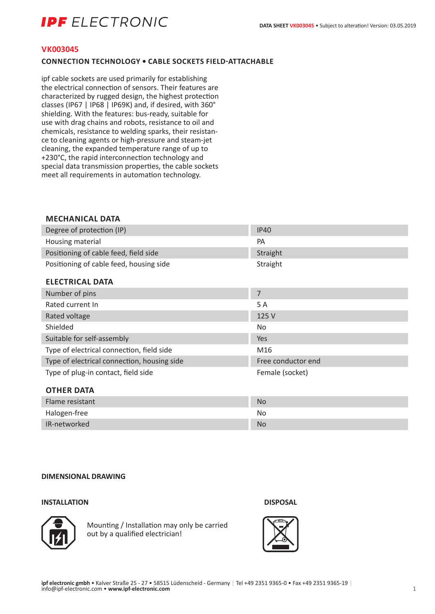# **IPF** ELECTRONIC

#### **VK003045**

### **CONNECTION TECHNOLOGY • CABLE SOCKETS FIELD-ATTACHABLE**

ipf cable sockets are used primarily for establishing the electrical connection of sensors. Their features are characterized by rugged design, the highest protection classes (IP67 | IP68 | IP69K) and, if desired, with 360° shielding. With the features: bus-ready, suitable for use with drag chains and robots, resistance to oil and chemicals, resistance to welding sparks, their resistance to cleaning agents or high-pressure and steam-jet cleaning, the expanded temperature range of up to +230°C, the rapid interconnection technology and special data transmission properties, the cable sockets meet all requirements in automation technology.

# **MECHANICAL DATA**

| Degree of protection (IP)               | <b>IP40</b> |
|-----------------------------------------|-------------|
| Housing material                        | PА          |
| Positioning of cable feed, field side   | Straight    |
| Positioning of cable feed, housing side | Straight    |

#### **ELECTRICAL DATA**

| Number of pins                              | 7                  |
|---------------------------------------------|--------------------|
| Rated current In                            | 5 A                |
| Rated voltage                               | 125 V              |
| Shielded                                    | <b>No</b>          |
| Suitable for self-assembly                  | Yes                |
| Type of electrical connection, field side   | M16                |
| Type of electrical connection, housing side | Free conductor end |
| Type of plug-in contact, field side         | Female (socket)    |
| <b>OTHER DATA</b>                           |                    |
| $Elmn$ rocictont                            | $N_{\Omega}$       |

| Flame resistant | <b>No</b> |
|-----------------|-----------|
| Halogen-free    | No        |
| IR-networked    | <b>No</b> |

#### **DIMENSIONAL DRAWING**

#### **INSTALLATION DISPOSAL**



Mounting / Installation may only be carried out by a qualified electrician!